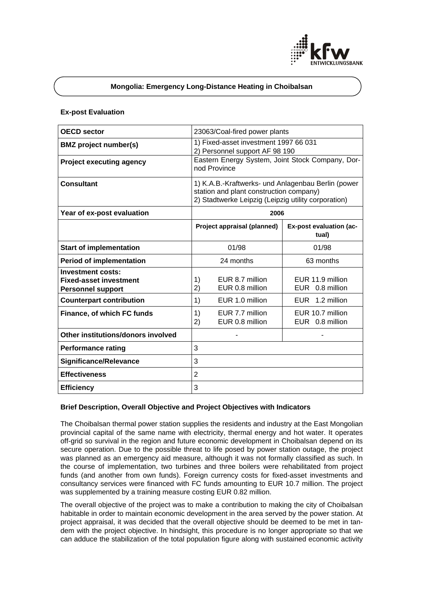

# **Mongolia: Emergency Long-Distance Heating in Choibalsan**

### **Ex-post Evaluation**

| <b>OECD sector</b>                                                                    | 23063/Coal-fired power plants                                                                                                                        |                                         |
|---------------------------------------------------------------------------------------|------------------------------------------------------------------------------------------------------------------------------------------------------|-----------------------------------------|
| <b>BMZ</b> project number(s)                                                          | 1) Fixed-asset investment 1997 66 031<br>2) Personnel support AF 98 190                                                                              |                                         |
| <b>Project executing agency</b>                                                       | Eastern Energy System, Joint Stock Company, Dor-<br>nod Province                                                                                     |                                         |
| <b>Consultant</b>                                                                     | 1) K.A.B.-Kraftwerks- und Anlagenbau Berlin (power<br>station and plant construction company)<br>2) Stadtwerke Leipzig (Leipzig utility corporation) |                                         |
| Year of ex-post evaluation                                                            | 2006                                                                                                                                                 |                                         |
|                                                                                       | Project appraisal (planned)                                                                                                                          | <b>Ex-post evaluation (ac-</b><br>tual) |
| <b>Start of implementation</b>                                                        | 01/98                                                                                                                                                | 01/98                                   |
| <b>Period of implementation</b>                                                       | 24 months                                                                                                                                            | 63 months                               |
| <b>Investment costs:</b><br><b>Fixed-asset investment</b><br><b>Personnel support</b> | 1)<br>EUR 8.7 million<br>EUR 0.8 million<br>2)                                                                                                       | EUR 11.9 million<br>EUR 0.8 million     |
| <b>Counterpart contribution</b>                                                       | 1)<br>EUR 1.0 million                                                                                                                                | EUR 1.2 million                         |
| Finance, of which FC funds                                                            | 1)<br>EUR 7.7 million<br>EUR 0.8 million<br>2)                                                                                                       | EUR 10.7 million<br>EUR 0.8 million     |
| Other institutions/donors involved                                                    |                                                                                                                                                      |                                         |
| <b>Performance rating</b>                                                             | 3                                                                                                                                                    |                                         |
| <b>Significance/Relevance</b>                                                         | 3                                                                                                                                                    |                                         |
| <b>Effectiveness</b>                                                                  | $\overline{2}$                                                                                                                                       |                                         |
| <b>Efficiency</b>                                                                     | 3                                                                                                                                                    |                                         |

### **Brief Description, Overall Objective and Project Objectives with Indicators**

The Choibalsan thermal power station supplies the residents and industry at the East Mongolian provincial capital of the same name with electricity, thermal energy and hot water. It operates off-grid so survival in the region and future economic development in Choibalsan depend on its secure operation. Due to the possible threat to life posed by power station outage, the project was planned as an emergency aid measure, although it was not formally classified as such. In the course of implementation, two turbines and three boilers were rehabilitated from project funds (and another from own funds). Foreign currency costs for fixed-asset investments and consultancy services were financed with FC funds amounting to EUR 10.7 million. The project was supplemented by a training measure costing EUR 0.82 million.

The overall objective of the project was to make a contribution to making the city of Choibalsan habitable in order to maintain economic development in the area served by the power station. At project appraisal, it was decided that the overall objective should be deemed to be met in tandem with the project objective. In hindsight, this procedure is no longer appropriate so that we can adduce the stabilization of the total population figure along with sustained economic activity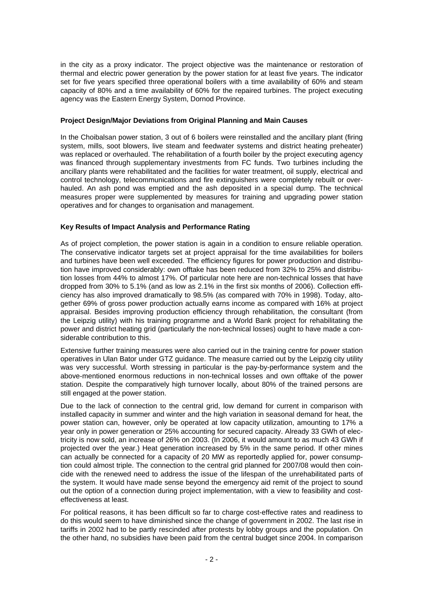in the city as a proxy indicator. The project objective was the maintenance or restoration of thermal and electric power generation by the power station for at least five years. The indicator set for five years specified three operational boilers with a time availability of 60% and steam capacity of 80% and a time availability of 60% for the repaired turbines. The project executing agency was the Eastern Energy System, Dornod Province.

## **Project Design/Major Deviations from Original Planning and Main Causes**

In the Choibalsan power station, 3 out of 6 boilers were reinstalled and the ancillary plant (firing system, mills, soot blowers, live steam and feedwater systems and district heating preheater) was replaced or overhauled. The rehabilitation of a fourth boiler by the project executing agency was financed through supplementary investments from FC funds. Two turbines including the ancillary plants were rehabilitated and the facilities for water treatment, oil supply, electrical and control technology, telecommunications and fire extinguishers were completely rebuilt or overhauled. An ash pond was emptied and the ash deposited in a special dump. The technical measures proper were supplemented by measures for training and upgrading power station operatives and for changes to organisation and management.

# **Key Results of Impact Analysis and Performance Rating**

As of project completion, the power station is again in a condition to ensure reliable operation. The conservative indicator targets set at project appraisal for the time availabilities for boilers and turbines have been well exceeded. The efficiency figures for power production and distribution have improved considerably: own offtake has been reduced from 32% to 25% and distribution losses from 44% to almost 17%. Of particular note here are non-technical losses that have dropped from 30% to 5.1% (and as low as 2.1% in the first six months of 2006). Collection efficiency has also improved dramatically to 98.5% (as compared with 70% in 1998). Today, altogether 69% of gross power production actually earns income as compared with 16% at project appraisal. Besides improving production efficiency through rehabilitation, the consultant (from the Leipzig utility) with his training programme and a World Bank project for rehabilitating the power and district heating grid (particularly the non-technical losses) ought to have made a considerable contribution to this.

Extensive further training measures were also carried out in the training centre for power station operatives in Ulan Bator under GTZ guidance. The measure carried out by the Leipzig city utility was very successful. Worth stressing in particular is the pay-by-performance system and the above-mentioned enormous reductions in non-technical losses and own offtake of the power station. Despite the comparatively high turnover locally, about 80% of the trained persons are still engaged at the power station.

Due to the lack of connection to the central grid, low demand for current in comparison with installed capacity in summer and winter and the high variation in seasonal demand for heat, the power station can, however, only be operated at low capacity utilization, amounting to 17% a year only in power generation or 25% accounting for secured capacity. Already 33 GWh of electricity is now sold, an increase of 26% on 2003. (In 2006, it would amount to as much 43 GWh if projected over the year.) Heat generation increased by 5% in the same period. If other mines can actually be connected for a capacity of 20 MW as reportedly applied for, power consumption could almost triple. The connection to the central grid planned for 2007/08 would then coincide with the renewed need to address the issue of the lifespan of the unrehabilitated parts of the system. It would have made sense beyond the emergency aid remit of the project to sound out the option of a connection during project implementation, with a view to feasibility and costeffectiveness at least.

For political reasons, it has been difficult so far to charge cost-effective rates and readiness to do this would seem to have diminished since the change of government in 2002. The last rise in tariffs in 2002 had to be partly rescinded after protests by lobby groups and the population. On the other hand, no subsidies have been paid from the central budget since 2004. In comparison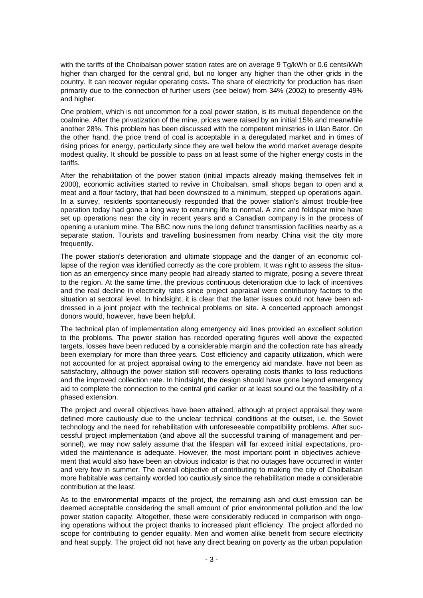with the tariffs of the Choibalsan power station rates are on average 9 Tg/kWh or 0.6 cents/kWh higher than charged for the central grid, but no longer any higher than the other grids in the country. It can recover regular operating costs. The share of electricity for production has risen primarily due to the connection of further users (see below) from 34% (2002) to presently 49% and higher.

One problem, which is not uncommon for a coal power station, is its mutual dependence on the coalmine. After the privatization of the mine, prices were raised by an initial 15% and meanwhile another 28%. This problem has been discussed with the competent ministries in Ulan Bator. On the other hand, the price trend of coal is acceptable in a deregulated market and in times of rising prices for energy, particularly since they are well below the world market average despite modest quality. It should be possible to pass on at least some of the higher energy costs in the tariffs.

After the rehabilitation of the power station (initial impacts already making themselves felt in 2000), economic activities started to revive in Choibalsan, small shops began to open and a meat and a flour factory, that had been downsized to a minimum, stepped up operations again. In a survey, residents spontaneously responded that the power station's almost trouble-free operation today had gone a long way to returning life to normal. A zinc and feldspar mine have set up operations near the city in recent years and a Canadian company is in the process of opening a uranium mine. The BBC now runs the long defunct transmission facilities nearby as a separate station. Tourists and travelling businessmen from nearby China visit the city more frequently.

The power station's deterioration and ultimate stoppage and the danger of an economic collapse of the region was identified correctly as the core problem. It was right to assess the situation as an emergency since many people had already started to migrate, posing a severe threat to the region. At the same time, the previous continuous deterioration due to lack of incentives and the real decline in electricity rates since project appraisal were contributory factors to the situation at sectoral level. In hindsight, it is clear that the latter issues could not have been addressed in a joint project with the technical problems on site. A concerted approach amongst donors would, however, have been helpful.

The technical plan of implementation along emergency aid lines provided an excellent solution to the problems. The power station has recorded operating figures well above the expected targets, losses have been reduced by a considerable margin and the collection rate has already been exemplary for more than three years. Cost efficiency and capacity utilization, which were not accounted for at project appraisal owing to the emergency aid mandate, have not been as satisfactory, although the power station still recovers operating costs thanks to loss reductions and the improved collection rate. In hindsight, the design should have gone beyond emergency aid to complete the connection to the central grid earlier or at least sound out the feasibility of a phased extension.

The project and overall objectives have been attained, although at project appraisal they were defined more cautiously due to the unclear technical conditions at the outset, i.e. the Soviet technology and the need for rehabilitation with unforeseeable compatibility problems. After successful project implementation (and above all the successful training of management and personnel), we may now safely assume that the lifespan will far exceed initial expectations, provided the maintenance is adequate. However, the most important point in objectives achievement that would also have been an obvious indicator is that no outages have occurred in winter and very few in summer. The overall objective of contributing to making the city of Choibalsan more habitable was certainly worded too cautiously since the rehabilitation made a considerable contribution at the least.

As to the environmental impacts of the project, the remaining ash and dust emission can be deemed acceptable considering the small amount of prior environmental pollution and the low power station capacity. Altogether, these were considerably reduced in comparison with ongoing operations without the project thanks to increased plant efficiency. The project afforded no scope for contributing to gender equality. Men and women alike benefit from secure electricity and heat supply. The project did not have any direct bearing on poverty as the urban population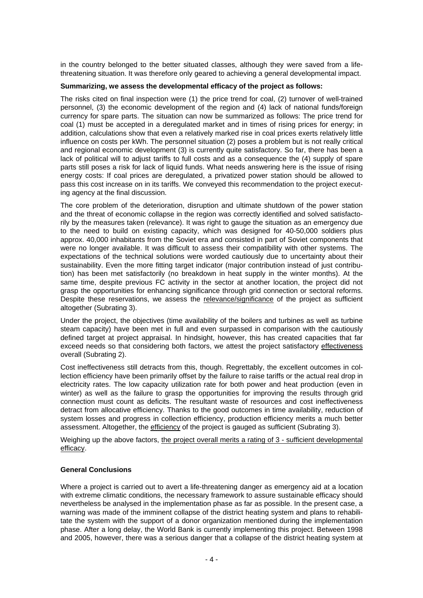in the country belonged to the better situated classes, although they were saved from a lifethreatening situation. It was therefore only geared to achieving a general developmental impact.

#### **Summarizing, we assess the developmental efficacy of the project as follows:**

The risks cited on final inspection were (1) the price trend for coal, (2) turnover of well-trained personnel, (3) the economic development of the region and (4) lack of national funds/foreign currency for spare parts. The situation can now be summarized as follows: The price trend for coal (1) must be accepted in a deregulated market and in times of rising prices for energy; in addition, calculations show that even a relatively marked rise in coal prices exerts relatively little influence on costs per kWh. The personnel situation (2) poses a problem but is not really critical and regional economic development (3) is currently quite satisfactory. So far, there has been a lack of political will to adjust tariffs to full costs and as a consequence the (4) supply of spare parts still poses a risk for lack of liquid funds. What needs answering here is the issue of rising energy costs: If coal prices are deregulated, a privatized power station should be allowed to pass this cost increase on in its tariffs. We conveyed this recommendation to the project executing agency at the final discussion.

The core problem of the deterioration, disruption and ultimate shutdown of the power station and the threat of economic collapse in the region was correctly identified and solved satisfactorily by the measures taken (relevance). It was right to gauge the situation as an emergency due to the need to build on existing capacity, which was designed for 40-50,000 soldiers plus approx. 40,000 inhabitants from the Soviet era and consisted in part of Soviet components that were no longer available. It was difficult to assess their compatibility with other systems. The expectations of the technical solutions were worded cautiously due to uncertainty about their sustainability. Even the more fitting target indicator (major contribution instead of just contribution) has been met satisfactorily (no breakdown in heat supply in the winter months). At the same time, despite previous FC activity in the sector at another location, the project did not grasp the opportunities for enhancing significance through grid connection or sectoral reforms. Despite these reservations, we assess the relevance/significance of the project as sufficient altogether (Subrating 3).

Under the project, the objectives (time availability of the boilers and turbines as well as turbine steam capacity) have been met in full and even surpassed in comparison with the cautiously defined target at project appraisal. In hindsight, however, this has created capacities that far exceed needs so that considering both factors, we attest the project satisfactory effectiveness overall (Subrating 2).

Cost ineffectiveness still detracts from this, though. Regrettably, the excellent outcomes in collection efficiency have been primarily offset by the failure to raise tariffs or the actual real drop in electricity rates. The low capacity utilization rate for both power and heat production (even in winter) as well as the failure to grasp the opportunities for improving the results through grid connection must count as deficits. The resultant waste of resources and cost ineffectiveness detract from allocative efficiency. Thanks to the good outcomes in time availability, reduction of system losses and progress in collection efficiency, production efficiency merits a much better assessment. Altogether, the efficiency of the project is gauged as sufficient (Subrating 3).

Weighing up the above factors, the project overall merits a rating of 3 - sufficient developmental efficacy.

### **General Conclusions**

Where a project is carried out to avert a life-threatening danger as emergency aid at a location with extreme climatic conditions, the necessary framework to assure sustainable efficacy should nevertheless be analysed in the implementation phase as far as possible. In the present case, a warning was made of the imminent collapse of the district heating system and plans to rehabilitate the system with the support of a donor organization mentioned during the implementation phase. After a long delay, the World Bank is currently implementing this project. Between 1998 and 2005, however, there was a serious danger that a collapse of the district heating system at